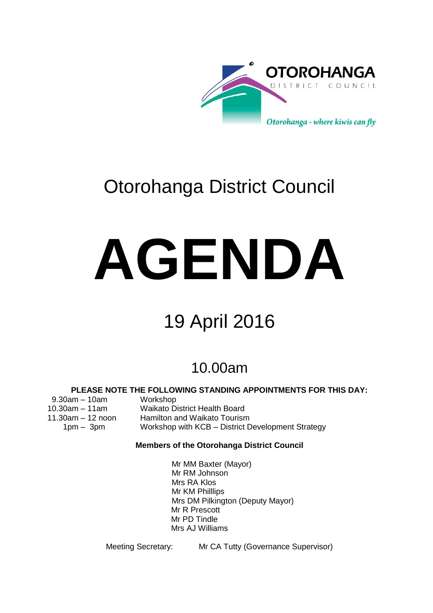

# Otorohanga District Council

# **AGENDA**

# 19 April 2016

# 10.00am

# **PLEASE NOTE THE FOLLOWING STANDING APPOINTMENTS FOR THIS DAY:**

9.30am – 10am Workshop

- 
- 10.30am 11am Waikato District Health Board
- 11.30am 12 noon Hamilton and Waikato Tourism
	- 1pm 3pm Workshop with KCB District Development Strategy

# **Members of the Otorohanga District Council**

Mr MM Baxter (Mayor) Mr RM Johnson Mrs RA Klos Mr KM Philllips Mrs DM Pilkington (Deputy Mayor) Mr R Prescott Mr PD Tindle Mrs AJ Williams

Meeting Secretary: Mr CA Tutty (Governance Supervisor)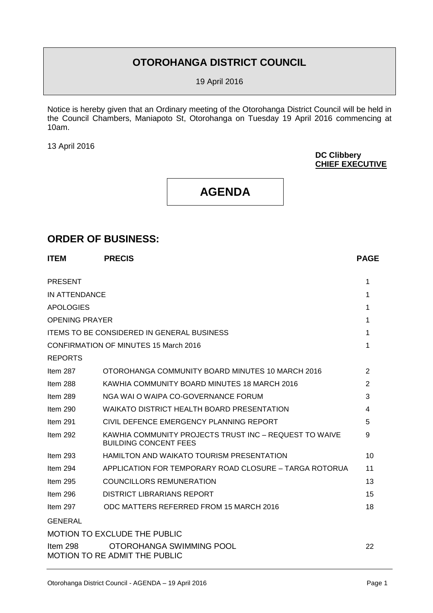# **OTOROHANGA DISTRICT COUNCIL**

19 April 2016

Notice is hereby given that an Ordinary meeting of the Otorohanga District Council will be held in the Council Chambers, Maniapoto St, Otorohanga on Tuesday 19 April 2016 commencing at 10am.

13 April 2016

**DC Clibbery CHIEF EXECUTIVE**

# **AGENDA**

# **ORDER OF BUSINESS:**

| <b>PRESENT</b><br>1                                                                                       |    |
|-----------------------------------------------------------------------------------------------------------|----|
|                                                                                                           |    |
| IN ATTENDANCE<br>1                                                                                        |    |
| <b>APOLOGIES</b><br>1                                                                                     |    |
| <b>OPENING PRAYER</b><br>1                                                                                |    |
| <b>ITEMS TO BE CONSIDERED IN GENERAL BUSINESS</b><br>1                                                    |    |
| <b>CONFIRMATION OF MINUTES 15 March 2016</b><br>1                                                         |    |
| <b>REPORTS</b>                                                                                            |    |
| OTOROHANGA COMMUNITY BOARD MINUTES 10 MARCH 2016<br>2<br>Item $287$                                       |    |
| Item 288<br>KAWHIA COMMUNITY BOARD MINUTES 18 MARCH 2016<br>2                                             |    |
| NGA WAI O WAIPA CO-GOVERNANCE FORUM<br>3<br>Item 289                                                      |    |
| Item $290$<br>WAIKATO DISTRICT HEALTH BOARD PRESENTATION<br>4                                             |    |
| CIVIL DEFENCE EMERGENCY PLANNING REPORT<br>Item 291<br>5                                                  |    |
| KAWHIA COMMUNITY PROJECTS TRUST INC - REQUEST TO WAIVE<br>9<br>Item $292$<br><b>BUILDING CONCENT FEES</b> |    |
| Item $293$<br><b>HAMILTON AND WAIKATO TOURISM PRESENTATION</b>                                            | 10 |
| APPLICATION FOR TEMPORARY ROAD CLOSURE - TARGA ROTORUA<br>Item 294                                        | 11 |
| <b>COUNCILLORS REMUNERATION</b><br>Item 295                                                               | 13 |
| DISTRICT LIBRARIANS REPORT<br>Item $296$                                                                  | 15 |
| Item 297<br>ODC MATTERS REFERRED FROM 15 MARCH 2016                                                       | 18 |
| <b>GENERAL</b>                                                                                            |    |
| <b>MOTION TO EXCLUDE THE PUBLIC</b>                                                                       |    |
| Item 298<br>OTOROHANGA SWIMMING POOL<br><b>MOTION TO RE ADMIT THE PUBLIC</b>                              | 22 |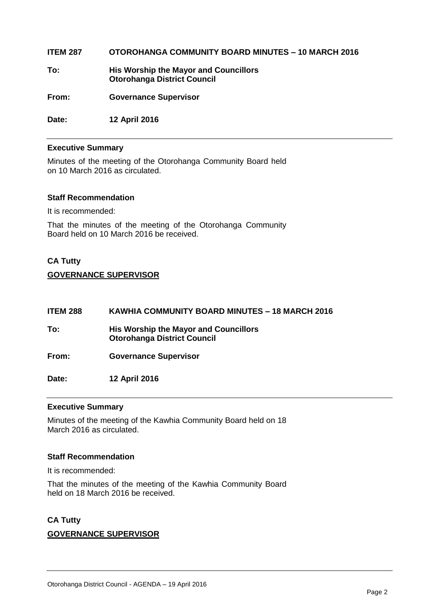# **ITEM 287 OTOROHANGA COMMUNITY BOARD MINUTES – 10 MARCH 2016**

**To: His Worship the Mayor and Councillors Otorohanga District Council**

**From: Governance Supervisor** 

**Date: 12 April 2016**

# **Executive Summary**

Minutes of the meeting of the Otorohanga Community Board held on 10 March 2016 as circulated.

# **Staff Recommendation**

It is recommended:

That the minutes of the meeting of the Otorohanga Community Board held on 10 March 2016 be received.

# **CA Tutty GOVERNANCE SUPERVISOR**

| <b>ITEM 288</b> | KAWHIA COMMUNITY BOARD MINUTES - 18 MARCH 2016                              |
|-----------------|-----------------------------------------------------------------------------|
| To:             | His Worship the Mayor and Councillors<br><b>Otorohanga District Council</b> |
| From:           | <b>Governance Supervisor</b>                                                |
| Date:           | 12 April 2016                                                               |

# **Executive Summary**

Minutes of the meeting of the Kawhia Community Board held on 18 March 2016 as circulated.

# **Staff Recommendation**

It is recommended:

That the minutes of the meeting of the Kawhia Community Board held on 18 March 2016 be received.

# **CA Tutty**

# **GOVERNANCE SUPERVISOR**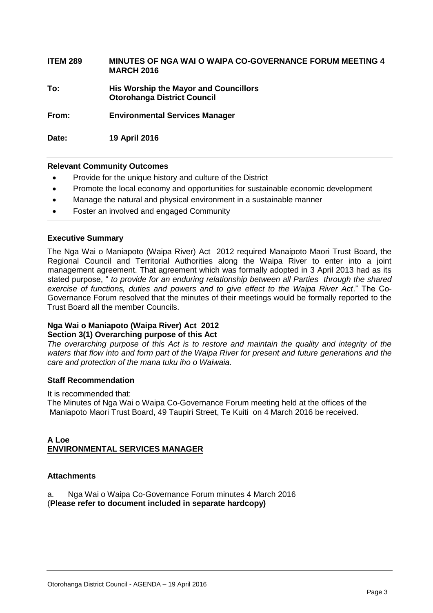| <b>ITEM 289</b> | MINUTES OF NGA WAI O WAIPA CO-GOVERNANCE FORUM MEETING 4 |
|-----------------|----------------------------------------------------------|
|                 | <b>MARCH 2016</b>                                        |

**To: His Worship the Mayor and Councillors Otorohanga District Council**

**From: Environmental Services Manager**

**Date: 19 April 2016**

# **Relevant Community Outcomes**

- Provide for the unique history and culture of the District
- Promote the local economy and opportunities for sustainable economic development
- Manage the natural and physical environment in a sustainable manner
- Foster an involved and engaged Community

# **Executive Summary**

The Nga Wai o Maniapoto (Waipa River) Act 2012 required Manaipoto Maori Trust Board, the Regional Council and Territorial Authorities along the Waipa River to enter into a joint management agreement. That agreement which was formally adopted in 3 April 2013 had as its stated purpose, " *to provide for an enduring relationship between all Parties through the shared exercise of functions, duties and powers and to give effect to the Waipa River Act*." The Co-Governance Forum resolved that the minutes of their meetings would be formally reported to the Trust Board all the member Councils.

# **Nga Wai o Maniapoto (Waipa River) Act 2012 Section 3(1) Overarching purpose of this Act**

*The overarching purpose of this Act is to restore and maintain the quality and integrity of the waters that flow into and form part of the Waipa River for present and future generations and the care and protection of the mana tuku iho o Waiwaia.*

# **Staff Recommendation**

It is recommended that:

The Minutes of Nga Wai o Waipa Co-Governance Forum meeting held at the offices of the Maniapoto Maori Trust Board, 49 Taupiri Street, Te Kuiti on 4 March 2016 be received.

# **A Loe ENVIRONMENTAL SERVICES MANAGER**

# **Attachments**

a. Nga Wai o Waipa Co-Governance Forum minutes 4 March 2016 (**Please refer to document included in separate hardcopy)**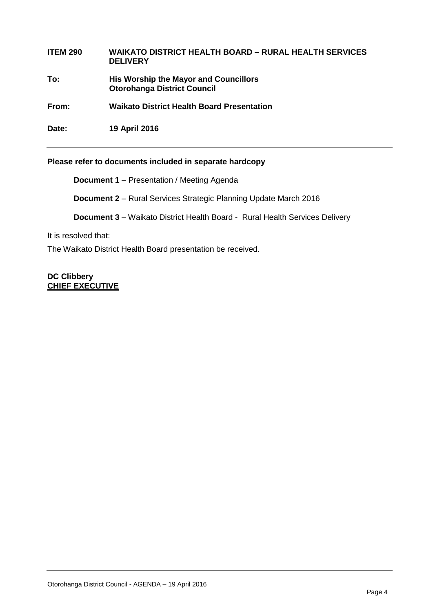# **ITEM 290 WAIKATO DISTRICT HEALTH BOARD – RURAL HEALTH SERVICES DELIVERY**

**To: His Worship the Mayor and Councillors Otorohanga District Council**

**From: Waikato District Health Board Presentation** 

**Date: 19 April 2016**

# **Please refer to documents included in separate hardcopy**

**Document 1** – Presentation / Meeting Agenda

**Document 2** – Rural Services Strategic Planning Update March 2016

**Document 3** – Waikato District Health Board - Rural Health Services Delivery

It is resolved that:

The Waikato District Health Board presentation be received.

**DC Clibbery CHIEF EXECUTIVE**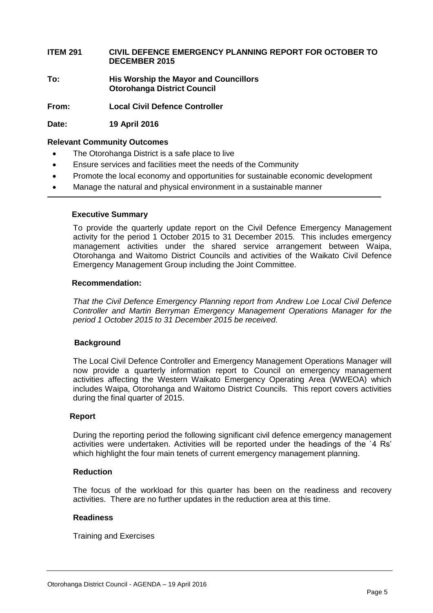**ITEM 291 CIVIL DEFENCE EMERGENCY PLANNING REPORT FOR OCTOBER TO DECEMBER 2015**

**To: His Worship the Mayor and Councillors Otorohanga District Council**

**From: Local Civil Defence Controller**

**Date: 19 April 2016**

# **Relevant Community Outcomes**

- The Otorohanga District is a safe place to live
- Ensure services and facilities meet the needs of the Community
- Promote the local economy and opportunities for sustainable economic development
- Manage the natural and physical environment in a sustainable manner

# **Executive Summary**

To provide the quarterly update report on the Civil Defence Emergency Management activity for the period 1 October 2015 to 31 December 2015. This includes emergency management activities under the shared service arrangement between Waipa, Otorohanga and Waitomo District Councils and activities of the Waikato Civil Defence Emergency Management Group including the Joint Committee.

# **Recommendation:**

*That the Civil Defence Emergency Planning report from Andrew Loe Local Civil Defence Controller and Martin Berryman Emergency Management Operations Manager for the period 1 October 2015 to 31 December 2015 be received.*

# **Background**

The Local Civil Defence Controller and Emergency Management Operations Manager will now provide a quarterly information report to Council on emergency management activities affecting the Western Waikato Emergency Operating Area (WWEOA) which includes Waipa, Otorohanga and Waitomo District Councils. This report covers activities during the final quarter of 2015.

# **Report**

During the reporting period the following significant civil defence emergency management activities were undertaken. Activities will be reported under the headings of the `4 Rs' which highlight the four main tenets of current emergency management planning.

# **Reduction**

The focus of the workload for this quarter has been on the readiness and recovery activities. There are no further updates in the reduction area at this time.

# **Readiness**

Training and Exercises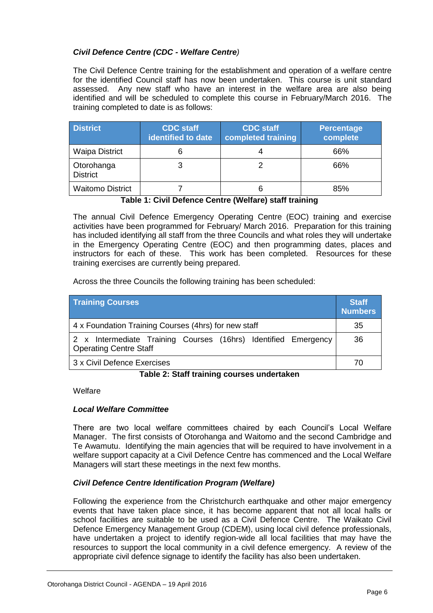# *Civil Defence Centre (CDC - Welfare Centre)*

The Civil Defence Centre training for the establishment and operation of a welfare centre for the identified Council staff has now been undertaken. This course is unit standard assessed. Any new staff who have an interest in the welfare area are also being identified and will be scheduled to complete this course in February/March 2016. The training completed to date is as follows:

| <b>District</b>               | <b>CDC</b> staff<br>identified to date | <b>CDC</b> staff<br>completed training | <b>Percentage</b><br>complete |
|-------------------------------|----------------------------------------|----------------------------------------|-------------------------------|
| <b>Waipa District</b>         | 6                                      |                                        | 66%                           |
| Otorohanga<br><b>District</b> | 3                                      |                                        | 66%                           |
| <b>Waitomo District</b>       |                                        |                                        | 85%                           |

**Table 1: Civil Defence Centre (Welfare) staff training**

The annual Civil Defence Emergency Operating Centre (EOC) training and exercise activities have been programmed for February/ March 2016. Preparation for this training has included identifying all staff from the three Councils and what roles they will undertake in the Emergency Operating Centre (EOC) and then programming dates, places and instructors for each of these. This work has been completed. Resources for these training exercises are currently being prepared.

Across the three Councils the following training has been scheduled:

| <b>Training Courses</b>                                                                         | <b>Staff</b><br><b>Numbers</b> |
|-------------------------------------------------------------------------------------------------|--------------------------------|
| 4 x Foundation Training Courses (4hrs) for new staff                                            | 35                             |
| 2 x Intermediate Training Courses (16hrs) Identified Emergency<br><b>Operating Centre Staff</b> | 36                             |
| 3 x Civil Defence Exercises                                                                     |                                |

# **Table 2: Staff training courses undertaken**

Welfare

# *Local Welfare Committee*

There are two local welfare committees chaired by each Council's Local Welfare Manager. The first consists of Otorohanga and Waitomo and the second Cambridge and Te Awamutu. Identifying the main agencies that will be required to have involvement in a welfare support capacity at a Civil Defence Centre has commenced and the Local Welfare Managers will start these meetings in the next few months.

# *Civil Defence Centre Identification Program (Welfare)*

Following the experience from the Christchurch earthquake and other major emergency events that have taken place since, it has become apparent that not all local halls or school facilities are suitable to be used as a Civil Defence Centre. The Waikato Civil Defence Emergency Management Group (CDEM), using local civil defence professionals, have undertaken a project to identify region-wide all local facilities that may have the resources to support the local community in a civil defence emergency. A review of the appropriate civil defence signage to identify the facility has also been undertaken.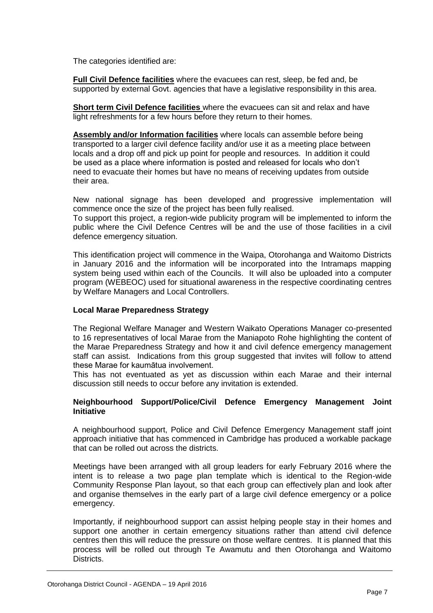The categories identified are:

**Full Civil Defence facilities** where the evacuees can rest, sleep, be fed and, be supported by external Govt. agencies that have a legislative responsibility in this area.

**Short term Civil Defence facilities** where the evacuees can sit and relax and have light refreshments for a few hours before they return to their homes.

**Assembly and/or Information facilities** where locals can assemble before being transported to a larger civil defence facility and/or use it as a meeting place between locals and a drop off and pick up point for people and resources. In addition it could be used as a place where information is posted and released for locals who don't need to evacuate their homes but have no means of receiving updates from outside their area.

New national signage has been developed and progressive implementation will commence once the size of the project has been fully realised.

To support this project, a region-wide publicity program will be implemented to inform the public where the Civil Defence Centres will be and the use of those facilities in a civil defence emergency situation.

This identification project will commence in the Waipa, Otorohanga and Waitomo Districts in January 2016 and the information will be incorporated into the Intramaps mapping system being used within each of the Councils. It will also be uploaded into a computer program (WEBEOC) used for situational awareness in the respective coordinating centres by Welfare Managers and Local Controllers.

# **Local Marae Preparedness Strategy**

The Regional Welfare Manager and Western Waikato Operations Manager co-presented to 16 representatives of local Marae from the Maniapoto Rohe highlighting the content of the Marae Preparedness Strategy and how it and civil defence emergency management staff can assist. Indications from this group suggested that invites will follow to attend these Marae for kaumātua involvement.

This has not eventuated as yet as discussion within each Marae and their internal discussion still needs to occur before any invitation is extended.

# **Neighbourhood Support/Police/Civil Defence Emergency Management Joint Initiative**

A neighbourhood support, Police and Civil Defence Emergency Management staff joint approach initiative that has commenced in Cambridge has produced a workable package that can be rolled out across the districts.

Meetings have been arranged with all group leaders for early February 2016 where the intent is to release a two page plan template which is identical to the Region-wide Community Response Plan layout, so that each group can effectively plan and look after and organise themselves in the early part of a large civil defence emergency or a police emergency.

Importantly, if neighbourhood support can assist helping people stay in their homes and support one another in certain emergency situations rather than attend civil defence centres then this will reduce the pressure on those welfare centres. It is planned that this process will be rolled out through Te Awamutu and then Otorohanga and Waitomo Districts.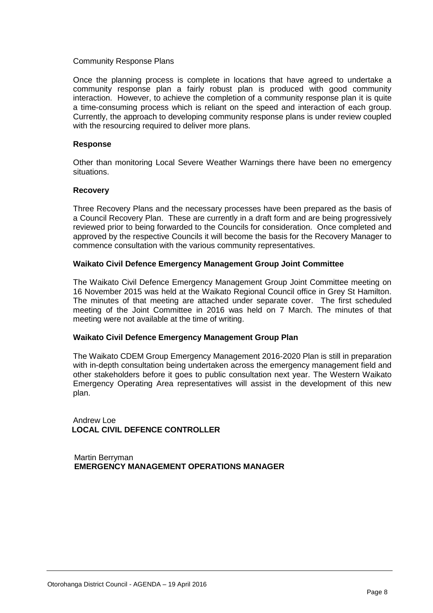# Community Response Plans

Once the planning process is complete in locations that have agreed to undertake a community response plan a fairly robust plan is produced with good community interaction. However, to achieve the completion of a community response plan it is quite a time-consuming process which is reliant on the speed and interaction of each group. Currently, the approach to developing community response plans is under review coupled with the resourcing required to deliver more plans.

# **Response**

Other than monitoring Local Severe Weather Warnings there have been no emergency situations.

# **Recovery**

Three Recovery Plans and the necessary processes have been prepared as the basis of a Council Recovery Plan. These are currently in a draft form and are being progressively reviewed prior to being forwarded to the Councils for consideration. Once completed and approved by the respective Councils it will become the basis for the Recovery Manager to commence consultation with the various community representatives.

# **Waikato Civil Defence Emergency Management Group Joint Committee**

The Waikato Civil Defence Emergency Management Group Joint Committee meeting on 16 November 2015 was held at the Waikato Regional Council office in Grey St Hamilton. The minutes of that meeting are attached under separate cover. The first scheduled meeting of the Joint Committee in 2016 was held on 7 March. The minutes of that meeting were not available at the time of writing.

# **Waikato Civil Defence Emergency Management Group Plan**

The Waikato CDEM Group Emergency Management 2016-2020 Plan is still in preparation with in-depth consultation being undertaken across the emergency management field and other stakeholders before it goes to public consultation next year. The Western Waikato Emergency Operating Area representatives will assist in the development of this new plan.

Andrew Loe  **LOCAL CIVIL DEFENCE CONTROLLER**

 Martin Berryman  **EMERGENCY MANAGEMENT OPERATIONS MANAGER**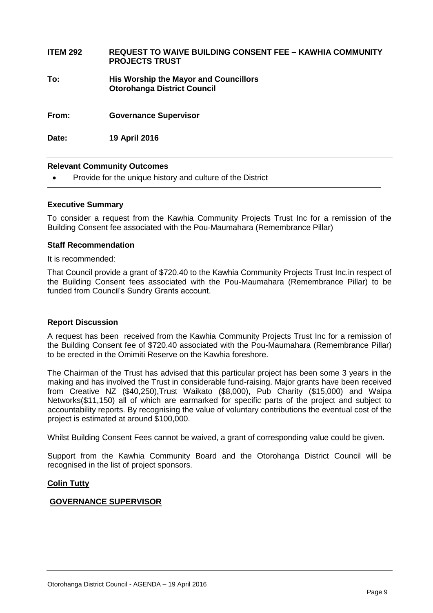| <b>ITEM 292</b> | <b>REQUEST TO WAIVE BUILDING CONSENT FEE – KAWHIA COMMUNITY</b><br><b>PROJECTS TRUST</b> |
|-----------------|------------------------------------------------------------------------------------------|
| To:             | <b>His Worship the Mayor and Councillors</b><br><b>Otorohanga District Council</b>       |
| From:           | <b>Governance Supervisor</b>                                                             |
| Date:           | 19 April 2016                                                                            |

# **Relevant Community Outcomes**

Provide for the unique history and culture of the District

### **Executive Summary**

To consider a request from the Kawhia Community Projects Trust Inc for a remission of the Building Consent fee associated with the Pou-Maumahara (Remembrance Pillar)

### **Staff Recommendation**

It is recommended:

That Council provide a grant of \$720.40 to the Kawhia Community Projects Trust Inc.in respect of the Building Consent fees associated with the Pou-Maumahara (Remembrance Pillar) to be funded from Council's Sundry Grants account.

# **Report Discussion**

A request has been received from the Kawhia Community Projects Trust Inc for a remission of the Building Consent fee of \$720.40 associated with the Pou-Maumahara (Remembrance Pillar) to be erected in the Omimiti Reserve on the Kawhia foreshore.

The Chairman of the Trust has advised that this particular project has been some 3 years in the making and has involved the Trust in considerable fund-raising. Major grants have been received from Creative NZ (\$40,250),Trust Waikato (\$8,000), Pub Charity (\$15,000) and Waipa Networks(\$11,150) all of which are earmarked for specific parts of the project and subject to accountability reports. By recognising the value of voluntary contributions the eventual cost of the project is estimated at around \$100,000.

Whilst Building Consent Fees cannot be waived, a grant of corresponding value could be given.

Support from the Kawhia Community Board and the Otorohanga District Council will be recognised in the list of project sponsors.

# **Colin Tutty**

# **GOVERNANCE SUPERVISOR**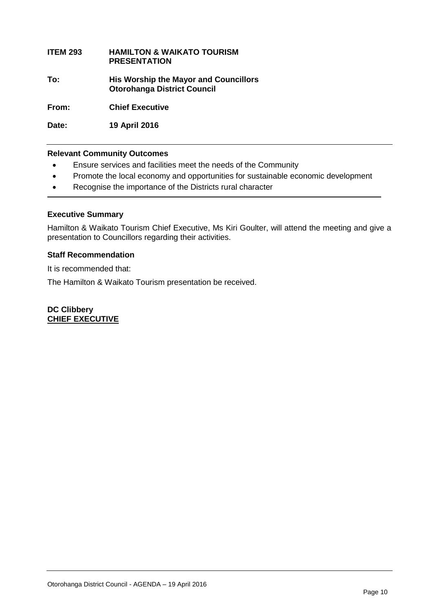# **ITEM 293 HAMILTON & WAIKATO TOURISM PRESENTATION**

**To: His Worship the Mayor and Councillors Otorohanga District Council**

**From: Chief Executive**

**Date: 19 April 2016**

# **Relevant Community Outcomes**

- Ensure services and facilities meet the needs of the Community
- Promote the local economy and opportunities for sustainable economic development
- Recognise the importance of the Districts rural character

# **Executive Summary**

Hamilton & Waikato Tourism Chief Executive, Ms Kiri Goulter, will attend the meeting and give a presentation to Councillors regarding their activities.

# **Staff Recommendation**

It is recommended that:

The Hamilton & Waikato Tourism presentation be received.

**DC Clibbery CHIEF EXECUTIVE**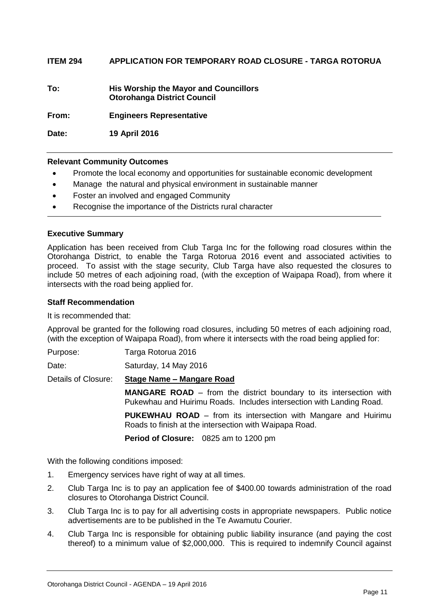**ITEM 294 APPLICATION FOR TEMPORARY ROAD CLOSURE - TARGA ROTORUA**

**To: His Worship the Mayor and Councillors Otorohanga District Council**

**From: Engineers Representative**

**Date: 19 April 2016**

# **Relevant Community Outcomes**

- Promote the local economy and opportunities for sustainable economic development
- Manage the natural and physical environment in sustainable manner
- Foster an involved and engaged Community
- Recognise the importance of the Districts rural character

# **Executive Summary**

Application has been received from Club Targa Inc for the following road closures within the Otorohanga District, to enable the Targa Rotorua 2016 event and associated activities to proceed. To assist with the stage security, Club Targa have also requested the closures to include 50 metres of each adjoining road, (with the exception of Waipapa Road), from where it intersects with the road being applied for.

# **Staff Recommendation**

It is recommended that:

Approval be granted for the following road closures, including 50 metres of each adjoining road, (with the exception of Waipapa Road), from where it intersects with the road being applied for:

Purpose: Targa Rotorua 2016

Date: Saturday, 14 May 2016

Details of Closure: **Stage Name – Mangare Road**

**MANGARE ROAD** – from the district boundary to its intersection with Pukewhau and Huirimu Roads. Includes intersection with Landing Road.

**PUKEWHAU ROAD** – from its intersection with Mangare and Huirimu Roads to finish at the intersection with Waipapa Road.

**Period of Closure:** 0825 am to 1200 pm

With the following conditions imposed:

- 1. Emergency services have right of way at all times.
- 2. Club Targa Inc is to pay an application fee of \$400.00 towards administration of the road closures to Otorohanga District Council.
- 3. Club Targa Inc is to pay for all advertising costs in appropriate newspapers. Public notice advertisements are to be published in the Te Awamutu Courier.
- 4. Club Targa Inc is responsible for obtaining public liability insurance (and paying the cost thereof) to a minimum value of \$2,000,000. This is required to indemnify Council against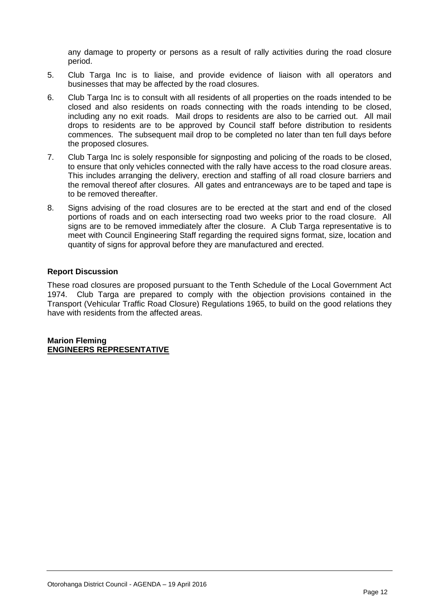any damage to property or persons as a result of rally activities during the road closure period.

- 5. Club Targa Inc is to liaise, and provide evidence of liaison with all operators and businesses that may be affected by the road closures.
- 6. Club Targa Inc is to consult with all residents of all properties on the roads intended to be closed and also residents on roads connecting with the roads intending to be closed, including any no exit roads. Mail drops to residents are also to be carried out. All mail drops to residents are to be approved by Council staff before distribution to residents commences. The subsequent mail drop to be completed no later than ten full days before the proposed closures.
- 7. Club Targa Inc is solely responsible for signposting and policing of the roads to be closed, to ensure that only vehicles connected with the rally have access to the road closure areas. This includes arranging the delivery, erection and staffing of all road closure barriers and the removal thereof after closures. All gates and entranceways are to be taped and tape is to be removed thereafter.
- 8. Signs advising of the road closures are to be erected at the start and end of the closed portions of roads and on each intersecting road two weeks prior to the road closure. All signs are to be removed immediately after the closure. A Club Targa representative is to meet with Council Engineering Staff regarding the required signs format, size, location and quantity of signs for approval before they are manufactured and erected.

# **Report Discussion**

These road closures are proposed pursuant to the Tenth Schedule of the Local Government Act 1974. Club Targa are prepared to comply with the objection provisions contained in the Transport (Vehicular Traffic Road Closure) Regulations 1965, to build on the good relations they have with residents from the affected areas.

**Marion Fleming ENGINEERS REPRESENTATIVE**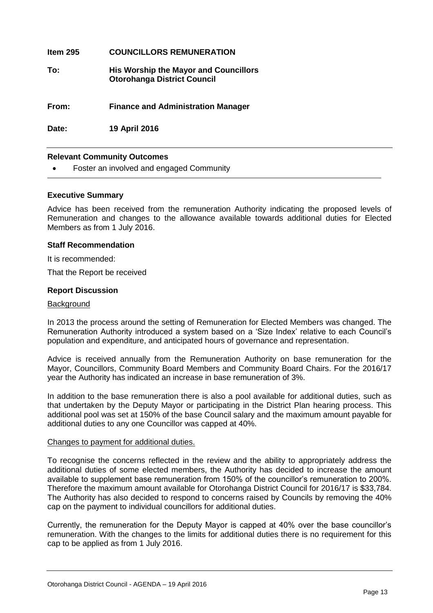| Item $295$ | <b>COUNCILLORS REMUNERATION</b>                                                    |
|------------|------------------------------------------------------------------------------------|
| To:        | <b>His Worship the Mayor and Councillors</b><br><b>Otorohanga District Council</b> |
| From:      | <b>Finance and Administration Manager</b>                                          |
| Date:      | 19 April 2016                                                                      |

# **Relevant Community Outcomes**

Foster an involved and engaged Community

# **Executive Summary**

Advice has been received from the remuneration Authority indicating the proposed levels of Remuneration and changes to the allowance available towards additional duties for Elected Members as from 1 July 2016.

# **Staff Recommendation**

It is recommended:

That the Report be received

### **Report Discussion**

### **Background**

In 2013 the process around the setting of Remuneration for Elected Members was changed. The Remuneration Authority introduced a system based on a 'Size Index' relative to each Council's population and expenditure, and anticipated hours of governance and representation.

Advice is received annually from the Remuneration Authority on base remuneration for the Mayor, Councillors, Community Board Members and Community Board Chairs. For the 2016/17 year the Authority has indicated an increase in base remuneration of 3%.

In addition to the base remuneration there is also a pool available for additional duties, such as that undertaken by the Deputy Mayor or participating in the District Plan hearing process. This additional pool was set at 150% of the base Council salary and the maximum amount payable for additional duties to any one Councillor was capped at 40%.

### Changes to payment for additional duties.

To recognise the concerns reflected in the review and the ability to appropriately address the additional duties of some elected members, the Authority has decided to increase the amount available to supplement base remuneration from 150% of the councillor's remuneration to 200%. Therefore the maximum amount available for Otorohanga District Council for 2016/17 is \$33,784. The Authority has also decided to respond to concerns raised by Councils by removing the 40% cap on the payment to individual councillors for additional duties.

Currently, the remuneration for the Deputy Mayor is capped at 40% over the base councillor's remuneration. With the changes to the limits for additional duties there is no requirement for this cap to be applied as from 1 July 2016.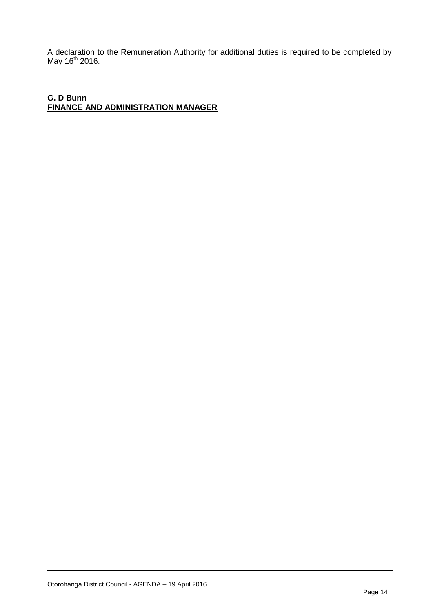A declaration to the Remuneration Authority for additional duties is required to be completed by May 16<sup>th</sup> 2016.

**G. D Bunn FINANCE AND ADMINISTRATION MANAGER**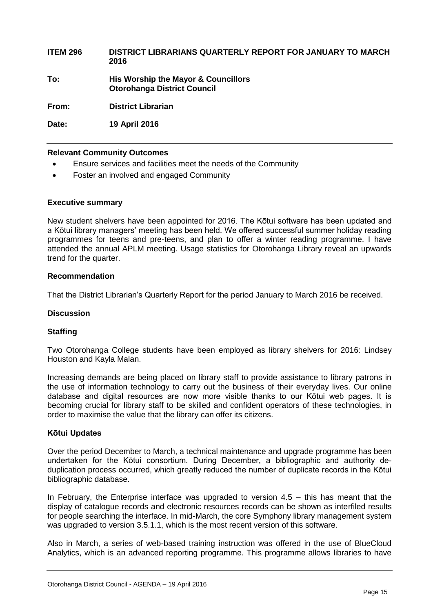# **ITEM 296 DISTRICT LIBRARIANS QUARTERLY REPORT FOR JANUARY TO MARCH 2016**

**To: His Worship the Mayor & Councillors Otorohanga District Council**

**From: District Librarian** 

**Date: 19 April 2016**

# **Relevant Community Outcomes**

- Ensure services and facilities meet the needs of the Community
- Foster an involved and engaged Community

# **Executive summary**

New student shelvers have been appointed for 2016. The Kōtui software has been updated and a Kōtui library managers' meeting has been held. We offered successful summer holiday reading programmes for teens and pre-teens, and plan to offer a winter reading programme. I have attended the annual APLM meeting. Usage statistics for Otorohanga Library reveal an upwards trend for the quarter.

# **Recommendation**

That the District Librarian's Quarterly Report for the period January to March 2016 be received.

# **Discussion**

# **Staffing**

Two Otorohanga College students have been employed as library shelvers for 2016: Lindsey Houston and Kayla Malan.

Increasing demands are being placed on library staff to provide assistance to library patrons in the use of information technology to carry out the business of their everyday lives. Our online database and digital resources are now more visible thanks to our Kōtui web pages. It is becoming crucial for library staff to be skilled and confident operators of these technologies, in order to maximise the value that the library can offer its citizens.

# **Kōtui Updates**

Over the period December to March, a technical maintenance and upgrade programme has been undertaken for the Kōtui consortium. During December, a bibliographic and authority deduplication process occurred, which greatly reduced the number of duplicate records in the Kōtui bibliographic database.

In February, the Enterprise interface was upgraded to version  $4.5 -$  this has meant that the display of catalogue records and electronic resources records can be shown as interfiled results for people searching the interface. In mid-March, the core Symphony library management system was upgraded to version 3.5.1.1, which is the most recent version of this software.

Also in March, a series of web-based training instruction was offered in the use of BlueCloud Analytics, which is an advanced reporting programme. This programme allows libraries to have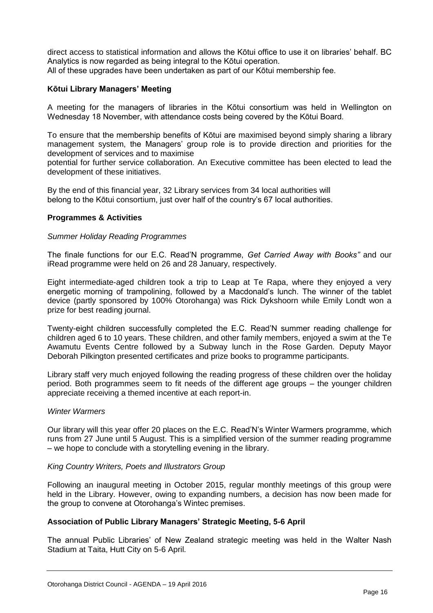direct access to statistical information and allows the Kōtui office to use it on libraries' behalf. BC Analytics is now regarded as being integral to the Kōtui operation. All of these upgrades have been undertaken as part of our Kōtui membership fee.

# **Kōtui Library Managers' Meeting**

A meeting for the managers of libraries in the Kōtui consortium was held in Wellington on Wednesday 18 November, with attendance costs being covered by the Kōtui Board.

To ensure that the membership benefits of Kōtui are maximised beyond simply sharing a library management system, the Managers' group role is to provide direction and priorities for the development of services and to maximise

potential for further service collaboration. An Executive committee has been elected to lead the development of these initiatives.

By the end of this financial year, 32 Library services from 34 local authorities will belong to the Kōtui consortium, just over half of the country's 67 local authorities.

# **Programmes & Activities**

# *Summer Holiday Reading Programmes*

The finale functions for our E.C. Read'N programme, *Get Carried Away with Books"* and our iRead programme were held on 26 and 28 January, respectively.

Eight intermediate-aged children took a trip to Leap at Te Rapa, where they enjoyed a very energetic morning of trampolining, followed by a Macdonald's lunch. The winner of the tablet device (partly sponsored by 100% Otorohanga) was Rick Dykshoorn while Emily Londt won a prize for best reading journal.

Twenty-eight children successfully completed the E.C. Read'N summer reading challenge for children aged 6 to 10 years. These children, and other family members, enjoyed a swim at the Te Awamutu Events Centre followed by a Subway lunch in the Rose Garden. Deputy Mayor Deborah Pilkington presented certificates and prize books to programme participants.

Library staff very much enjoyed following the reading progress of these children over the holiday period. Both programmes seem to fit needs of the different age groups – the younger children appreciate receiving a themed incentive at each report-in.

# *Winter Warmers*

Our library will this year offer 20 places on the E.C. Read'N's Winter Warmers programme, which runs from 27 June until 5 August. This is a simplified version of the summer reading programme – we hope to conclude with a storytelling evening in the library.

# *King Country Writers, Poets and Illustrators Group*

Following an inaugural meeting in October 2015, regular monthly meetings of this group were held in the Library. However, owing to expanding numbers, a decision has now been made for the group to convene at Otorohanga's Wintec premises.

# **Association of Public Library Managers' Strategic Meeting, 5-6 April**

The annual Public Libraries' of New Zealand strategic meeting was held in the Walter Nash Stadium at Taita, Hutt City on 5-6 April.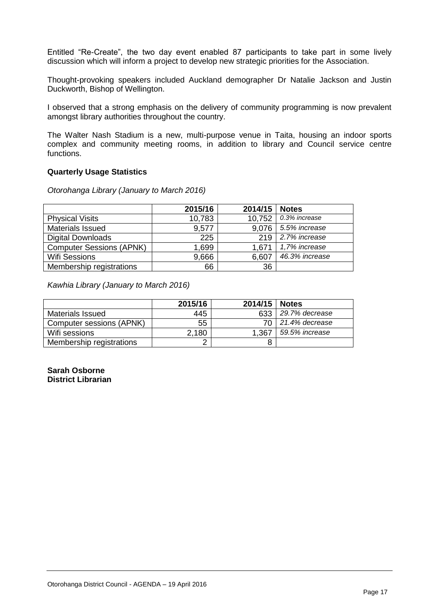Entitled "Re-Create", the two day event enabled 87 participants to take part in some lively discussion which will inform a project to develop new strategic priorities for the Association.

Thought-provoking speakers included Auckland demographer Dr Natalie Jackson and Justin Duckworth, Bishop of Wellington.

I observed that a strong emphasis on the delivery of community programming is now prevalent amongst library authorities throughout the country.

The Walter Nash Stadium is a new, multi-purpose venue in Taita, housing an indoor sports complex and community meeting rooms, in addition to library and Council service centre functions.

# **Quarterly Usage Statistics**

*Otorohanga Library (January to March 2016)*

|                                 | 2015/16 | 2014/15 | <b>Notes</b>   |
|---------------------------------|---------|---------|----------------|
| <b>Physical Visits</b>          | 10,783  | 10,752  | 0.3% increase  |
| <b>Materials Issued</b>         | 9,577   | 9,076   | 5.5% increase  |
| <b>Digital Downloads</b>        | 225     | 219     | 2.7% increase  |
| <b>Computer Sessions (APNK)</b> | 1,699   | 1.671   | 1,7% increase  |
| <b>Wifi Sessions</b>            | 9,666   | 6,607   | 46.3% increase |
| Membership registrations        | 66      | 36      |                |

*Kawhia Library (January to March 2016)*

|                          | 2015/16 | 2014/15 | <b>Notes</b>   |
|--------------------------|---------|---------|----------------|
| Materials Issued         | 445     | 633     | 29.7% decrease |
| Computer sessions (APNK) | 55      |         | 21.4% decrease |
| Wifi sessions            | 2,180   | 1,367   | 59.5% increase |
| Membership registrations | ╭       | 8       |                |

**Sarah Osborne District Librarian**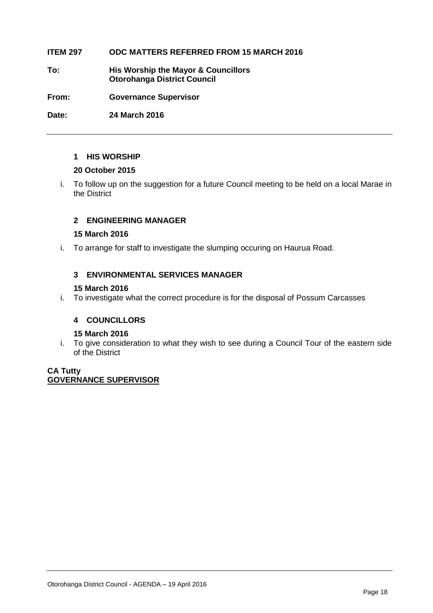# **ITEM 297 ODC MATTERS REFERRED FROM 15 MARCH 2016**

**To: His Worship the Mayor & Councillors Otorohanga District Council**

**From: Governance Supervisor**

**Date: 24 March 2016**

# **1 HIS WORSHIP**

# **20 October 2015**

i. To follow up on the suggestion for a future Council meeting to be held on a local Marae in the District

# **2 ENGINEERING MANAGER**

# **15 March 2016**

i. To arrange for staff to investigate the slumping occuring on Haurua Road.

# **3 ENVIRONMENTAL SERVICES MANAGER**

# **15 March 2016**

i. To investigate what the correct procedure is for the disposal of Possum Carcasses

# **4 COUNCILLORS**

# **15 March 2016**

i. To give consideration to what they wish to see during a Council Tour of the eastern side of the District

# **CA Tutty GOVERNANCE SUPERVISOR**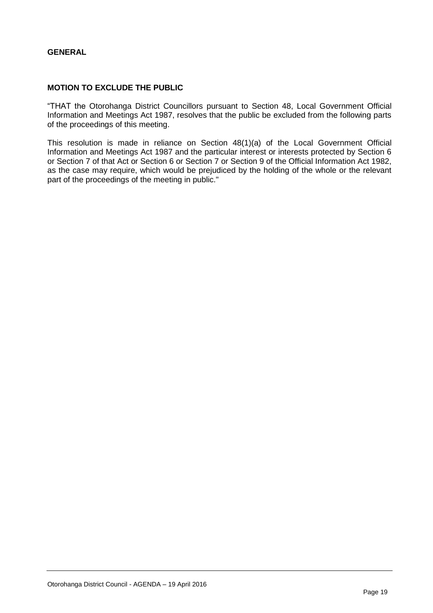# **GENERAL**

# **MOTION TO EXCLUDE THE PUBLIC**

"THAT the Otorohanga District Councillors pursuant to Section 48, Local Government Official Information and Meetings Act 1987, resolves that the public be excluded from the following parts of the proceedings of this meeting.

This resolution is made in reliance on Section 48(1)(a) of the Local Government Official Information and Meetings Act 1987 and the particular interest or interests protected by Section 6 or Section 7 of that Act or Section 6 or Section 7 or Section 9 of the Official Information Act 1982, as the case may require, which would be prejudiced by the holding of the whole or the relevant part of the proceedings of the meeting in public."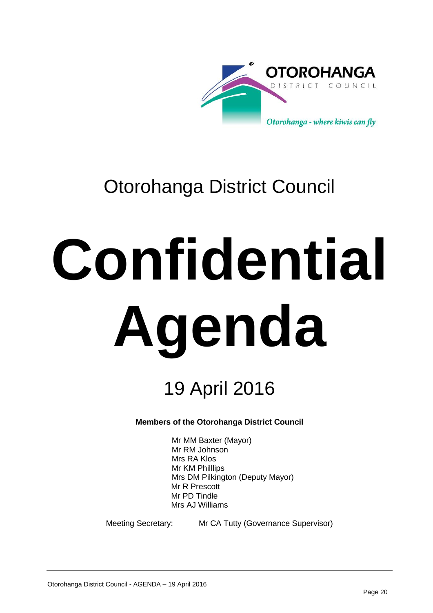

# Otorohanga District Council

# **Confidential Agenda**

# 19 April 2016

# **Members of the Otorohanga District Council**

Mr MM Baxter (Mayor) Mr RM Johnson Mrs RA Klos Mr KM Philllips Mrs DM Pilkington (Deputy Mayor) Mr R Prescott Mr PD Tindle Mrs AJ Williams

Meeting Secretary: Mr CA Tutty (Governance Supervisor)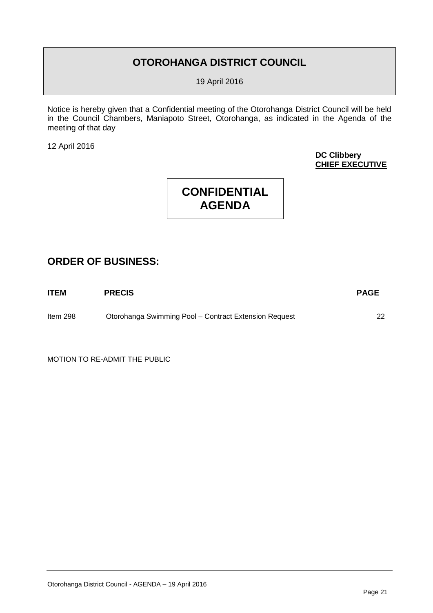# **OTOROHANGA DISTRICT COUNCIL**

19 April 2016

Notice is hereby given that a Confidential meeting of the Otorohanga District Council will be held in the Council Chambers, Maniapoto Street, Otorohanga, as indicated in the Agenda of the meeting of that day

12 April 2016

**DC Clibbery CHIEF EXECUTIVE**

# **CONFIDENTIAL AGENDA**

# **ORDER OF BUSINESS:**

| <b>ITEM</b> | <b>PRECIS</b>                                         | <b>PAGE</b> |
|-------------|-------------------------------------------------------|-------------|
| Item $298$  | Otorohanga Swimming Pool - Contract Extension Request |             |

MOTION TO RE-ADMIT THE PUBLIC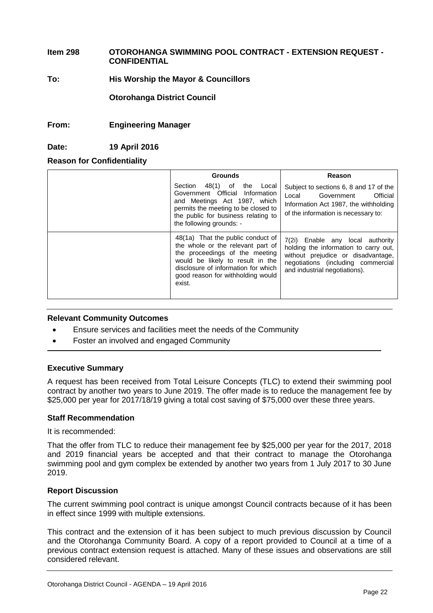# **Item 298 OTOROHANGA SWIMMING POOL CONTRACT - EXTENSION REQUEST - CONFIDENTIAL**

# **To: His Worship the Mayor & Councillors**

**Otorohanga District Council**

# **From: Engineering Manager**

# **Date: 19 April 2016**

# **Reason for Confidentiality**

| <b>Grounds</b>                                                                                                                                                                                                                     | Reason                                                                                                                                                                                 |
|------------------------------------------------------------------------------------------------------------------------------------------------------------------------------------------------------------------------------------|----------------------------------------------------------------------------------------------------------------------------------------------------------------------------------------|
| Section<br>48(1)<br>of<br>the<br>Local<br>Government Official<br>Information<br>and Meetings Act 1987, which<br>permits the meeting to be closed to<br>the public for business relating to<br>the following grounds: -             | Subject to sections 6, 8 and 17 of the<br>Local<br>Official<br>Government<br>Information Act 1987, the withholding<br>of the information is necessary to:                              |
| 48(1a) That the public conduct of<br>the whole or the relevant part of<br>the proceedings of the meeting<br>would be likely to result in the<br>disclosure of information for which<br>good reason for withholding would<br>exist. | 7(2i) Enable any local authority<br>holding the information to carry out,<br>without prejudice or disadvantage,<br>negotiations (including commercial<br>and industrial negotiations). |

# **Relevant Community Outcomes**

- Ensure services and facilities meet the needs of the Community
- Foster an involved and engaged Community

# **Executive Summary**

A request has been received from Total Leisure Concepts (TLC) to extend their swimming pool contract by another two years to June 2019. The offer made is to reduce the management fee by \$25,000 per year for 2017/18/19 giving a total cost saving of \$75,000 over these three years.

# **Staff Recommendation**

It is recommended:

That the offer from TLC to reduce their management fee by \$25,000 per year for the 2017, 2018 and 2019 financial years be accepted and that their contract to manage the Otorohanga swimming pool and gym complex be extended by another two years from 1 July 2017 to 30 June 2019.

# **Report Discussion**

The current swimming pool contract is unique amongst Council contracts because of it has been in effect since 1999 with multiple extensions.

This contract and the extension of it has been subject to much previous discussion by Council and the Otorohanga Community Board. A copy of a report provided to Council at a time of a previous contract extension request is attached. Many of these issues and observations are still considered relevant.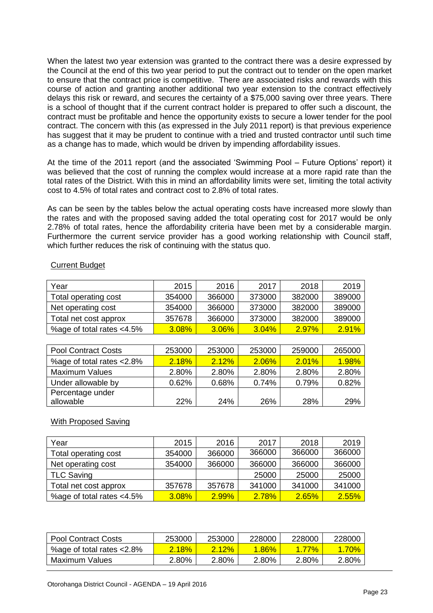When the latest two year extension was granted to the contract there was a desire expressed by the Council at the end of this two year period to put the contract out to tender on the open market to ensure that the contract price is competitive. There are associated risks and rewards with this course of action and granting another additional two year extension to the contract effectively delays this risk or reward, and secures the certainty of a \$75,000 saving over three years. There is a school of thought that if the current contract holder is prepared to offer such a discount, the contract must be profitable and hence the opportunity exists to secure a lower tender for the pool contract. The concern with this (as expressed in the July 2011 report) is that previous experience has suggest that it may be prudent to continue with a tried and trusted contractor until such time as a change has to made, which would be driven by impending affordability issues.

At the time of the 2011 report (and the associated 'Swimming Pool – Future Options' report) it was believed that the cost of running the complex would increase at a more rapid rate than the total rates of the District. With this in mind an affordability limits were set, limiting the total activity cost to 4.5% of total rates and contract cost to 2.8% of total rates.

As can be seen by the tables below the actual operating costs have increased more slowly than the rates and with the proposed saving added the total operating cost for 2017 would be only 2.78% of total rates, hence the affordability criteria have been met by a considerable margin. Furthermore the current service provider has a good working relationship with Council staff, which further reduces the risk of continuing with the status quo.

| Year                      | 2015   | 2016   | 2017   | 2018     | 2019   |
|---------------------------|--------|--------|--------|----------|--------|
| Total operating cost      | 354000 | 366000 | 373000 | 382000   | 389000 |
| Net operating cost        | 354000 | 366000 | 373000 | 382000   | 389000 |
| Total net cost approx     | 357678 | 366000 | 373000 | 382000   | 389000 |
| %age of total rates <4.5% | 3.08%  | 3.06%  | 3.04%  | $2.97\%$ | 2.91%  |

# Current Budget

| <b>Pool Contract Costs</b> | 253000 | 253000 | 253000 | 259000 | 265000   |
|----------------------------|--------|--------|--------|--------|----------|
| %age of total rates <2.8%  | 2.18%  | 2.12%  | 2.06%  | 2.01%  | $1.98\%$ |
| <b>Maximum Values</b>      | 2.80%  | 2.80%  | 2.80%  | 2.80%  | 2.80%    |
| Under allowable by         | 0.62%  | 0.68%  | 0.74%  | 0.79%  | 0.82%    |
| Percentage under           |        |        |        |        |          |
| allowable                  | 22%    | 24%    | 26%    | 28%    | 29%      |

# With Proposed Saving

| Year                      | 2015   | 2016   | 2017   | 2018   | 2019   |
|---------------------------|--------|--------|--------|--------|--------|
| Total operating cost      | 354000 | 366000 | 366000 | 366000 | 366000 |
| Net operating cost        | 354000 | 366000 | 366000 | 366000 | 366000 |
| TLC Saving                |        |        | 25000  | 25000  | 25000  |
| Total net cost approx     | 357678 | 357678 | 341000 | 341000 | 341000 |
| %age of total rates <4.5% | 3.08%  | 2.99%  | 2.78%  | 2.65%  | 2.55%  |

| <b>Pool Contract Costs</b> | 253000 | 253000   | 228000   | 228000   | 228000 |
|----------------------------|--------|----------|----------|----------|--------|
| %age of total rates <2.8%  | 2.18%  | $2.12\%$ | $1.86\%$ | $1.77\%$ | 70%    |
| Maximum Values             | 2.80%  | 2.80%    | 2.80%    | 2.80%    | 2.80%  |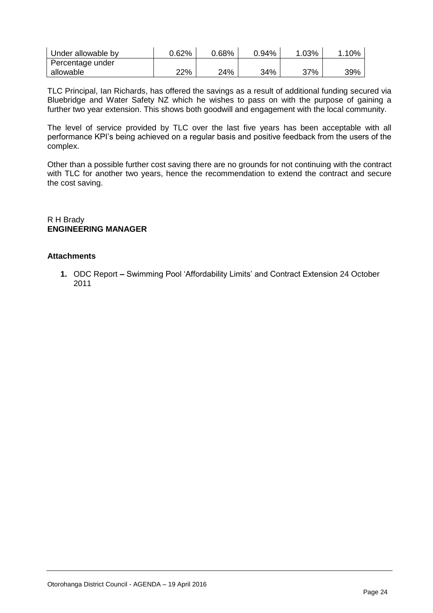| Under allowable by | 0.62% | $0.68\%$ | 0.94% | .03% | 10% |
|--------------------|-------|----------|-------|------|-----|
| Percentage under   |       |          |       |      |     |
| allowable          | 22%   | 24%      | 34%   | 37%  | 39% |

TLC Principal, Ian Richards, has offered the savings as a result of additional funding secured via Bluebridge and Water Safety NZ which he wishes to pass on with the purpose of gaining a further two year extension. This shows both goodwill and engagement with the local community.

The level of service provided by TLC over the last five years has been acceptable with all performance KPI's being achieved on a regular basis and positive feedback from the users of the complex.

Other than a possible further cost saving there are no grounds for not continuing with the contract with TLC for another two vears, hence the recommendation to extend the contract and secure the cost saving.

R H Brady **ENGINEERING MANAGER**

# **Attachments**

**1.** ODC Report **–** Swimming Pool 'Affordability Limits' and Contract Extension 24 October 2011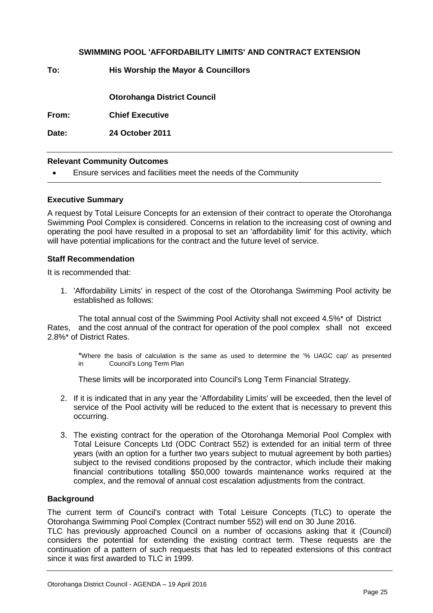# **SWIMMING POOL 'AFFORDABILITY LIMITS' AND CONTRACT EXTENSION**

**To: His Worship the Mayor & Councillors**

**Otorohanga District Council**

**From: Chief Executive**

**Date: 24 October 2011**

# **Relevant Community Outcomes**

Ensure services and facilities meet the needs of the Community

# **Executive Summary**

A request by Total Leisure Concepts for an extension of their contract to operate the Otorohanga Swimming Pool Complex is considered. Concerns in relation to the increasing cost of owning and operating the pool have resulted in a proposal to set an 'affordability limit' for this activity, which will have potential implications for the contract and the future level of service.

# **Staff Recommendation**

It is recommended that:

1. 'Affordability Limits' in respect of the cost of the Otorohanga Swimming Pool activity be established as follows:

The total annual cost of the Swimming Pool Activity shall not exceed 4.5%\* of District Rates, and the cost annual of the contract for operation of the pool complex shall not exceed 2.8%\* of District Rates.

\*Where the basis of calculation is the same as used to determine the '% UAGC cap' as presented in Council's Long Term Plan

These limits will be incorporated into Council's Long Term Financial Strategy.

- 2. If it is indicated that in any year the 'Affordability Limits' will be exceeded, then the level of service of the Pool activity will be reduced to the extent that is necessary to prevent this occurring.
- 3. The existing contract for the operation of the Otorohanga Memorial Pool Complex with Total Leisure Concepts Ltd (ODC Contract 552) is extended for an initial term of three years (with an option for a further two years subject to mutual agreement by both parties) subject to the revised conditions proposed by the contractor, which include their making financial contributions totalling \$50,000 towards maintenance works required at the complex, and the removal of annual cost escalation adjustments from the contract.

# **Background**

The current term of Council's contract with Total Leisure Concepts (TLC) to operate the Otorohanga Swimming Pool Complex (Contract number 552) will end on 30 June 2016. TLC has previously approached Council on a number of occasions asking that it (Council) considers the potential for extending the existing contract term. These requests are the continuation of a pattern of such requests that has led to repeated extensions of this contract since it was first awarded to TLC in 1999.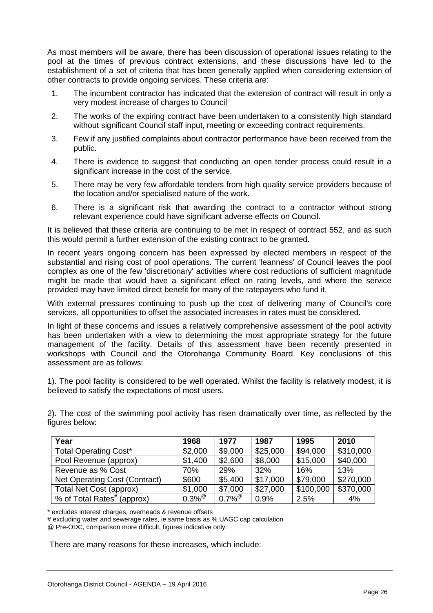As most members will be aware, there has been discussion of operational issues relating to the pool at the times of previous contract extensions, and these discussions have led to the establishment of a set of criteria that has been generally applied when considering extension of other contracts to provide ongoing services. These criteria are:

- 1. The incumbent contractor has indicated that the extension of contract will result in only a very modest increase of charges to Council
- 2. The works of the expiring contract have been undertaken to a consistently high standard without significant Council staff input, meeting or exceeding contract requirements.
- 3. Few if any justified complaints about contractor performance have been received from the public.
- 4. There is evidence to suggest that conducting an open tender process could result in a significant increase in the cost of the service.
- 5. There may be very few affordable tenders from high quality service providers because of the location and/or specialised nature of the work.
- 6. There is a significant risk that awarding the contract to a contractor without strong relevant experience could have significant adverse effects on Council.

It is believed that these criteria are continuing to be met in respect of contract 552, and as such this would permit a further extension of the existing contract to be granted.

In recent years ongoing concern has been expressed by elected members in respect of the substantial and rising cost of pool operations. The current 'leanness' of Council leaves the pool complex as one of the few 'discretionary' activities where cost reductions of sufficient magnitude might be made that would have a significant effect on rating levels, and where the service provided may have limited direct benefit for many of the ratepayers who fund it.

With external pressures continuing to push up the cost of delivering many of Council's core services, all opportunities to offset the associated increases in rates must be considered.

In light of these concerns and issues a relatively comprehensive assessment of the pool activity has been undertaken with a view to determining the most appropriate strategy for the future management of the facility. Details of this assessment have been recently presented in workshops with Council and the Otorohanga Community Board. Key conclusions of this assessment are as follows:

1). The pool facility is considered to be well operated. Whilst the facility is relatively modest, it is believed to satisfy the expectations of most users.

2). The cost of the swimming pool activity has risen dramatically over time, as reflected by the figures below:

| Year                                   | 1968                 | 1977                 | 1987     | 1995      | 2010      |
|----------------------------------------|----------------------|----------------------|----------|-----------|-----------|
| <b>Total Operating Cost*</b>           | \$2,000              | \$9,000              | \$25,000 | \$94,000  | \$310,000 |
| Pool Revenue (approx)                  | \$1,400              | \$2,600              | \$8,000  | \$15,000  | \$40,000  |
| Revenue as % Cost                      | 70%                  | 29%                  | 32%      | 16%       | 13%       |
| Net Operating Cost (Contract)          | \$600                | \$5,400              | \$17,000 | \$79,000  | \$270,000 |
| Total Net Cost (approx)                | \$1,000              | \$7,000              | \$27,000 | \$100,000 | \$370,000 |
| % of Total Rates <sup>#</sup> (approx) | $0.3\%$ <sup>@</sup> | $0.7\%$ <sup>@</sup> | 0.9%     | 2.5%      | 4%        |

\* excludes interest charges, overheads & revenue offsets

# excluding water and sewerage rates, ie same basis as % UAGC cap calculation

@ Pre-ODC, comparison more difficult, figures indicative only.

There are many reasons for these increases, which include: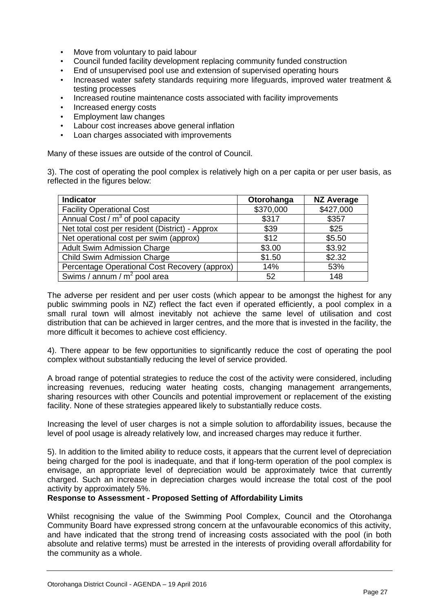- Move from voluntary to paid labour
- Council funded facility development replacing community funded construction
- End of unsupervised pool use and extension of supervised operating hours
- Increased water safety standards requiring more lifeguards, improved water treatment & testing processes
- Increased routine maintenance costs associated with facility improvements
- Increased energy costs
- Employment law changes
- Labour cost increases above general inflation
- Loan charges associated with improvements

Many of these issues are outside of the control of Council.

3). The cost of operating the pool complex is relatively high on a per capita or per user basis, as reflected in the figures below:

| <b>Indicator</b>                                | Otorohanga | <b>NZ Average</b> |
|-------------------------------------------------|------------|-------------------|
| <b>Facility Operational Cost</b>                | \$370,000  | \$427,000         |
| Annual Cost / $m^3$ of pool capacity            | \$317      | \$357             |
| Net total cost per resident (District) - Approx | \$39       | \$25              |
| Net operational cost per swim (approx)          | \$12       | \$5.50            |
| <b>Adult Swim Admission Charge</b>              | \$3.00     | \$3.92            |
| Child Swim Admission Charge                     | \$1.50     | \$2.32            |
| Percentage Operational Cost Recovery (approx)   | 14%        | 53%               |
| Swims / annum / $m^2$ pool area                 | 52         | 148               |

The adverse per resident and per user costs (which appear to be amongst the highest for any public swimming pools in NZ) reflect the fact even if operated efficiently, a pool complex in a small rural town will almost inevitably not achieve the same level of utilisation and cost distribution that can be achieved in larger centres, and the more that is invested in the facility, the more difficult it becomes to achieve cost efficiency.

4). There appear to be few opportunities to significantly reduce the cost of operating the pool complex without substantially reducing the level of service provided.

A broad range of potential strategies to reduce the cost of the activity were considered, including increasing revenues, reducing water heating costs, changing management arrangements, sharing resources with other Councils and potential improvement or replacement of the existing facility. None of these strategies appeared likely to substantially reduce costs.

Increasing the level of user charges is not a simple solution to affordability issues, because the level of pool usage is already relatively low, and increased charges may reduce it further.

5). In addition to the limited ability to reduce costs, it appears that the current level of depreciation being charged for the pool is inadequate, and that if long-term operation of the pool complex is envisage, an appropriate level of depreciation would be approximately twice that currently charged. Such an increase in depreciation charges would increase the total cost of the pool activity by approximately 5%.

# **Response to Assessment - Proposed Setting of Affordability Limits**

Whilst recognising the value of the Swimming Pool Complex, Council and the Otorohanga Community Board have expressed strong concern at the unfavourable economics of this activity, and have indicated that the strong trend of increasing costs associated with the pool (in both absolute and relative terms) must be arrested in the interests of providing overall affordability for the community as a whole.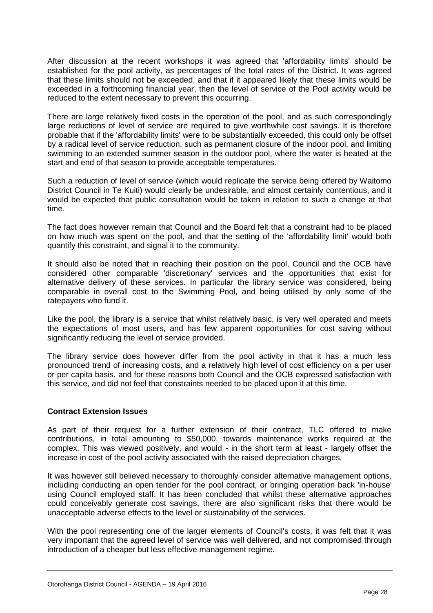After discussion at the recent workshops it was agreed that 'affordability limits' should be established for the pool activity, as percentages of the total rates of the District. It was agreed that these limits should not be exceeded, and that if it appeared likely that these limits would be exceeded in a forthcoming financial year, then the level of service of the Pool activity would be reduced to the extent necessary to prevent this occurring.

There are large relatively fixed costs in the operation of the pool, and as such correspondingly large reductions of level of service are required to give worthwhile cost savings. It is therefore probable that if the 'affordability limits' were to be substantially exceeded, this could only be offset by a radical level of service reduction, such as permanent closure of the indoor pool, and limiting swimming to an extended summer season in the outdoor pool, where the water is heated at the start and end of that season to provide acceptable temperatures.

Such a reduction of level of service (which would replicate the service being offered by Waitomo District Council in Te Kuiti) would clearly be undesirable, and almost certainly contentious, and it would be expected that public consultation would be taken in relation to such a change at that time.

The fact does however remain that Council and the Board felt that a constraint had to be placed on how much was spent on the pool, and that the setting of the 'affordability limit' would both quantify this constraint, and signal it to the community.

It should also be noted that in reaching their position on the pool, Council and the OCB have considered other comparable 'discretionary' services and the opportunities that exist for alternative delivery of these services. In particular the library service was considered, being comparable in overall cost to the Swimming Pool, and being utilised by only some of the ratepayers who fund it.

Like the pool, the library is a service that whilst relatively basic, is very well operated and meets the expectations of most users, and has few apparent opportunities for cost saving without significantly reducing the level of service provided.

The library service does however differ from the pool activity in that it has a much less pronounced trend of increasing costs, and a relatively high level of cost efficiency on a per user or per capita basis, and for these reasons both Council and the OCB expressed satisfaction with this service, and did not feel that constraints needed to be placed upon it at this time.

# **Contract Extension Issues**

As part of their request for a further extension of their contract, TLC offered to make contributions, in total amounting to \$50,000, towards maintenance works required at the complex. This was viewed positively, and would - in the short term at least - largely offset the increase in cost of the pool activity associated with the raised depreciation charges.

It was however still believed necessary to thoroughly consider alternative management options, including conducting an open tender for the pool contract, or bringing operation back 'in-house' using Council employed staff. It has been concluded that whilst these alternative approaches could conceivably generate cost savings, there are also significant risks that there would be unacceptable adverse effects to the level or sustainability of the services.

With the pool representing one of the larger elements of Council's costs, it was felt that it was very important that the agreed level of service was well delivered, and not compromised through introduction of a cheaper but less effective management regime.